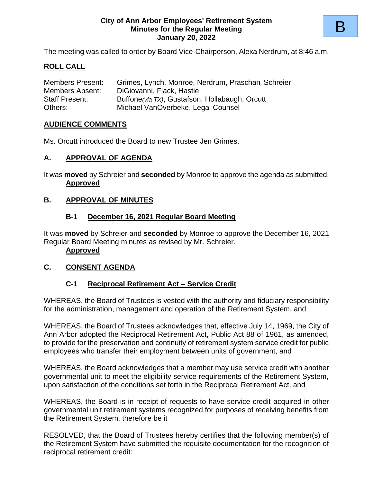#### **City of Ann Arbor Employees' Retirement System Minutes for the Regular Meeting January 20, 2022**

The meeting was called to order by Board Vice-Chairperson, Alexa Nerdrum, at 8:46 a.m.

## **ROLL CALL**

| <b>Members Present:</b> | Grimes, Lynch, Monroe, Nerdrum, Praschan, Schreier |
|-------------------------|----------------------------------------------------|
| Members Absent:         | DiGiovanni, Flack, Hastie                          |
| <b>Staff Present:</b>   | Buffone (via TX), Gustafson, Hollabaugh, Orcutt    |
| Others:                 | Michael VanOverbeke, Legal Counsel                 |

### **AUDIENCE COMMENTS**

Ms. Orcutt introduced the Board to new Trustee Jen Grimes.

### **A. APPROVAL OF AGENDA**

It was **moved** by Schreier and **seconded** by Monroe to approve the agenda as submitted. **Approved**

#### **B. APPROVAL OF MINUTES**

#### **B-1 December 16, 2021 Regular Board Meeting**

It was **moved** by Schreier and **seconded** by Monroe to approve the December 16, 2021 Regular Board Meeting minutes as revised by Mr. Schreier.

#### **Approved**

#### **C. CONSENT AGENDA**

### **C-1 Reciprocal Retirement Act – Service Credit**

WHEREAS, the Board of Trustees is vested with the authority and fiduciary responsibility for the administration, management and operation of the Retirement System, and

WHEREAS, the Board of Trustees acknowledges that, effective July 14, 1969, the City of Ann Arbor adopted the Reciprocal Retirement Act, Public Act 88 of 1961, as amended, to provide for the preservation and continuity of retirement system service credit for public employees who transfer their employment between units of government, and

WHEREAS, the Board acknowledges that a member may use service credit with another governmental unit to meet the eligibility service requirements of the Retirement System, upon satisfaction of the conditions set forth in the Reciprocal Retirement Act, and

WHEREAS, the Board is in receipt of requests to have service credit acquired in other governmental unit retirement systems recognized for purposes of receiving benefits from the Retirement System, therefore be it

RESOLVED, that the Board of Trustees hereby certifies that the following member(s) of the Retirement System have submitted the requisite documentation for the recognition of reciprocal retirement credit: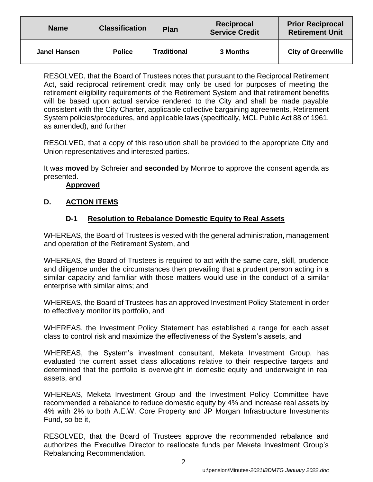| <b>Name</b>         | <b>Classification</b> | <b>Plan</b>        | Reciprocal<br><b>Service Credit</b> | <b>Prior Reciprocal</b><br><b>Retirement Unit</b> |
|---------------------|-----------------------|--------------------|-------------------------------------|---------------------------------------------------|
| <b>Janel Hansen</b> | <b>Police</b>         | <b>Traditional</b> | <b>3 Months</b>                     | <b>City of Greenville</b>                         |

RESOLVED, that the Board of Trustees notes that pursuant to the Reciprocal Retirement Act, said reciprocal retirement credit may only be used for purposes of meeting the retirement eligibility requirements of the Retirement System and that retirement benefits will be based upon actual service rendered to the City and shall be made payable consistent with the City Charter, applicable collective bargaining agreements, Retirement System policies/procedures, and applicable laws (specifically, MCL Public Act 88 of 1961, as amended), and further

RESOLVED, that a copy of this resolution shall be provided to the appropriate City and Union representatives and interested parties.

It was **moved** by Schreier and **seconded** by Monroe to approve the consent agenda as presented.

### **Approved**

### **D. ACTION ITEMS**

### **D-1 Resolution to Rebalance Domestic Equity to Real Assets**

WHEREAS, the Board of Trustees is vested with the general administration, management and operation of the Retirement System, and

WHEREAS, the Board of Trustees is required to act with the same care, skill, prudence and diligence under the circumstances then prevailing that a prudent person acting in a similar capacity and familiar with those matters would use in the conduct of a similar enterprise with similar aims; and

WHEREAS, the Board of Trustees has an approved Investment Policy Statement in order to effectively monitor its portfolio, and

WHEREAS, the Investment Policy Statement has established a range for each asset class to control risk and maximize the effectiveness of the System's assets, and

WHEREAS, the System's investment consultant, Meketa Investment Group, has evaluated the current asset class allocations relative to their respective targets and determined that the portfolio is overweight in domestic equity and underweight in real assets, and

WHEREAS, Meketa Investment Group and the Investment Policy Committee have recommended a rebalance to reduce domestic equity by 4% and increase real assets by 4% with 2% to both A.E.W. Core Property and JP Morgan Infrastructure Investments Fund, so be it,

RESOLVED, that the Board of Trustees approve the recommended rebalance and authorizes the Executive Director to reallocate funds per Meketa Investment Group's Rebalancing Recommendation.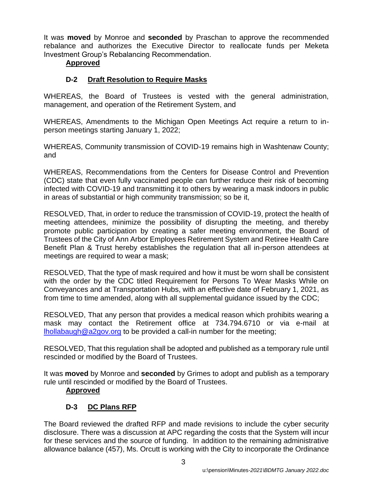It was **moved** by Monroe and **seconded** by Praschan to approve the recommended rebalance and authorizes the Executive Director to reallocate funds per Meketa Investment Group's Rebalancing Recommendation.

# **Approved**

# **D-2 Draft Resolution to Require Masks**

WHEREAS, the Board of Trustees is vested with the general administration, management, and operation of the Retirement System, and

WHEREAS, Amendments to the Michigan Open Meetings Act require a return to inperson meetings starting January 1, 2022;

WHEREAS, Community transmission of COVID-19 remains high in Washtenaw County; and

WHEREAS, Recommendations from the Centers for Disease Control and Prevention (CDC) state that even fully vaccinated people can further reduce their risk of becoming infected with COVID-19 and transmitting it to others by wearing a mask indoors in public in areas of substantial or high community transmission; so be it,

RESOLVED, That, in order to reduce the transmission of COVID-19, protect the health of meeting attendees, minimize the possibility of disrupting the meeting, and thereby promote public participation by creating a safer meeting environment, the Board of Trustees of the City of Ann Arbor Employees Retirement System and Retiree Health Care Benefit Plan & Trust hereby establishes the regulation that all in-person attendees at meetings are required to wear a mask;

RESOLVED, That the type of mask required and how it must be worn shall be consistent with the order by the CDC titled Requirement for Persons To Wear Masks While on Conveyances and at Transportation Hubs, with an effective date of February 1, 2021, as from time to time amended, along with all supplemental guidance issued by the CDC;

RESOLVED, That any person that provides a medical reason which prohibits wearing a mask may contact the Retirement office at 734.794.6710 or via e-mail at [lhollabaugh@a2gov.org](mailto:lhollabaugh@a2gov.org) to be provided a call-in number for the meeting;

RESOLVED, That this regulation shall be adopted and published as a temporary rule until rescinded or modified by the Board of Trustees.

It was **moved** by Monroe and **seconded** by Grimes to adopt and publish as a temporary rule until rescinded or modified by the Board of Trustees.

### **Approved**

# **D-3 DC Plans RFP**

The Board reviewed the drafted RFP and made revisions to include the cyber security disclosure. There was a discussion at APC regarding the costs that the System will incur for these services and the source of funding. In addition to the remaining administrative allowance balance (457), Ms. Orcutt is working with the City to incorporate the Ordinance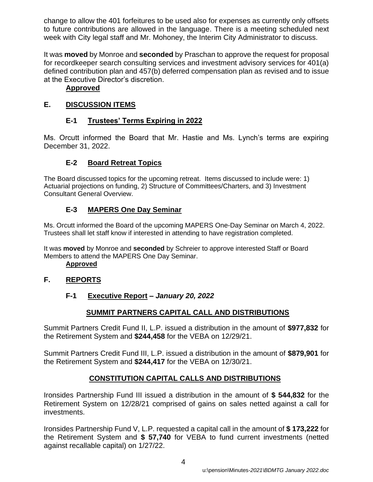change to allow the 401 forfeitures to be used also for expenses as currently only offsets to future contributions are allowed in the language. There is a meeting scheduled next week with City legal staff and Mr. Mohoney, the Interim City Administrator to discuss.

It was **moved** by Monroe and **seconded** by Praschan to approve the request for proposal for recordkeeper search consulting services and investment advisory services for 401(a) defined contribution plan and 457(b) deferred compensation plan as revised and to issue at the Executive Director's discretion.

## **Approved**

# **E. DISCUSSION ITEMS**

# **E-1 Trustees' Terms Expiring in 2022**

Ms. Orcutt informed the Board that Mr. Hastie and Ms. Lynch's terms are expiring December 31, 2022.

# **E-2 Board Retreat Topics**

The Board discussed topics for the upcoming retreat. Items discussed to include were: 1) Actuarial projections on funding, 2) Structure of Committees/Charters, and 3) Investment Consultant General Overview.

# **E-3 MAPERS One Day Seminar**

Ms. Orcutt informed the Board of the upcoming MAPERS One-Day Seminar on March 4, 2022. Trustees shall let staff know if interested in attending to have registration completed.

It was **moved** by Monroe and **seconded** by Schreier to approve interested Staff or Board Members to attend the MAPERS One Day Seminar.

**Approved**

# **F. REPORTS**

# **F-1 Executive Report** *– January 20, 2022*

# **SUMMIT PARTNERS CAPITAL CALL AND DISTRIBUTIONS**

Summit Partners Credit Fund II, L.P. issued a distribution in the amount of **\$977,832** for the Retirement System and **\$244,458** for the VEBA on 12/29/21.

Summit Partners Credit Fund III, L.P. issued a distribution in the amount of **\$879,901** for the Retirement System and **\$244,417** for the VEBA on 12/30/21.

# **CONSTITUTION CAPITAL CALLS AND DISTRIBUTIONS**

Ironsides Partnership Fund III issued a distribution in the amount of **\$ 544,832** for the Retirement System on 12/28/21 comprised of gains on sales netted against a call for investments.

Ironsides Partnership Fund V, L.P. requested a capital call in the amount of **\$ 173,222** for the Retirement System and **\$ 57,740** for VEBA to fund current investments (netted against recallable capital) on 1/27/22.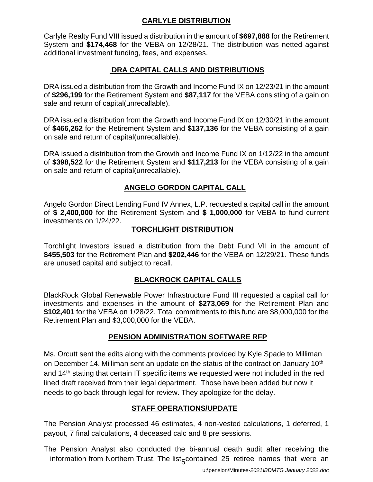### **CARLYLE DISTRIBUTION**

Carlyle Realty Fund VIII issued a distribution in the amount of **\$697,888** for the Retirement System and **\$174,468** for the VEBA on 12/28/21. The distribution was netted against additional investment funding, fees, and expenses.

# **DRA CAPITAL CALLS AND DISTRIBUTIONS**

DRA issued a distribution from the Growth and Income Fund IX on 12/23/21 in the amount of **\$296,199** for the Retirement System and **\$87,117** for the VEBA consisting of a gain on sale and return of capital(unrecallable).

DRA issued a distribution from the Growth and Income Fund IX on 12/30/21 in the amount of **\$466,262** for the Retirement System and **\$137,136** for the VEBA consisting of a gain on sale and return of capital(unrecallable).

DRA issued a distribution from the Growth and Income Fund IX on 1/12/22 in the amount of **\$398,522** for the Retirement System and **\$117,213** for the VEBA consisting of a gain on sale and return of capital(unrecallable).

# **ANGELO GORDON CAPITAL CALL**

Angelo Gordon Direct Lending Fund IV Annex, L.P. requested a capital call in the amount of **\$ 2,400,000** for the Retirement System and **\$ 1,000,000** for VEBA to fund current investments on 1/24/22.

### **TORCHLIGHT DISTRIBUTION**

Torchlight Investors issued a distribution from the Debt Fund VII in the amount of **\$455,503** for the Retirement Plan and **\$202,446** for the VEBA on 12/29/21. These funds are unused capital and subject to recall.

### **BLACKROCK CAPITAL CALLS**

BlackRock Global Renewable Power Infrastructure Fund III requested a capital call for investments and expenses in the amount of **\$273,069** for the Retirement Plan and **\$102,401** for the VEBA on 1/28/22. Total commitments to this fund are \$8,000,000 for the Retirement Plan and \$3,000,000 for the VEBA.

### **PENSION ADMINISTRATION SOFTWARE RFP**

Ms. Orcutt sent the edits along with the comments provided by Kyle Spade to Milliman on December 14. Milliman sent an update on the status of the contract on January 10<sup>th</sup> and 14th stating that certain IT specific items we requested were not included in the red lined draft received from their legal department. Those have been added but now it needs to go back through legal for review. They apologize for the delay.

# **STAFF OPERATIONS/UPDATE**

The Pension Analyst processed 46 estimates, 4 non-vested calculations, 1 deferred, 1 payout, 7 final calculations, 4 deceased calc and 8 pre sessions.

information from Northern Trust. The list<sub>5</sub>contained 25 retiree names that were an The Pension Analyst also conducted the bi-annual death audit after receiving the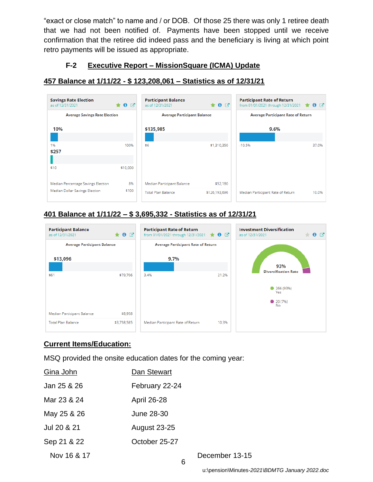"exact or close match" to name and / or DOB. Of those 25 there was only 1 retiree death that we had not been notified of. Payments have been stopped until we receive confirmation that the retiree did indeed pass and the beneficiary is living at which point retro payments will be issued as appropriate.

## **F-2 Executive Report – MissionSquare (ICMA) Update**

## **457 Balance at 1/11/22 - \$ 123,208,061 – Statistics as of 12/31/21**

| <b>Savings Rate Election</b><br>as of 12/31/2021 | $\bullet \bullet C$ | <b>Participant Balance</b><br>as of 12/31/2021 | $\bullet$ 0 $\sigma$ | <b>Participant Rate of Return</b><br>from 01/01/2021 through 12/31/2021 | $\bullet$ $\circ$ |  |
|--------------------------------------------------|---------------------|------------------------------------------------|----------------------|-------------------------------------------------------------------------|-------------------|--|
| <b>Average Savings Rate Election</b>             |                     | <b>Average Participant Balance</b>             |                      | <b>Average Participant Rate of Return</b>                               |                   |  |
| 10%                                              |                     | \$135,985                                      |                      | 9.6%                                                                    |                   |  |
| 1%<br>\$257                                      | 100%                | \$6                                            | \$1,310,350          | $-10.5%$                                                                | 37.0%             |  |
| \$10                                             | \$10,000            |                                                |                      |                                                                         |                   |  |
| Median Percentage Savings Election               | 8%                  | Median Participant Balance                     | \$52,180             |                                                                         |                   |  |
| Median Dollar Savings Election                   | \$100               | <b>Total Plan Balance</b>                      | \$126,193,696        | Median Participant Rate of Return                                       | 10.0%             |  |

# **401 Balance at 1/11/22 – \$ 3,695,332 - Statistics as of 12/31/21**



# **Current Items/Education:**

MSQ provided the onsite education dates for the coming year:

| Gina John   | Dan Stewart         |
|-------------|---------------------|
| Jan 25 & 26 | February 22-24      |
| Mar 23 & 24 | April 26-28         |
| May 25 & 26 | June 28-30          |
| Jul 20 & 21 | <b>August 23-25</b> |
| Sep 21 & 22 | October 25-27       |
| Nov 16 & 17 |                     |
|             |                     |

December 13-15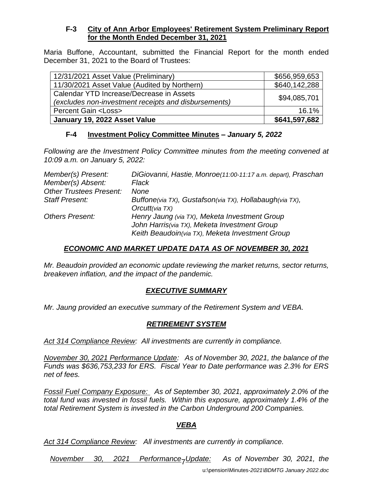### **F-3 City of Ann Arbor Employees' Retirement System Preliminary Report for the Month Ended December 31, 2021**

Maria Buffone, Accountant, submitted the Financial Report for the month ended December 31, 2021 to the Board of Trustees:

| 12/31/2021 Asset Value (Preliminary)                                                             | \$656,959,653 |
|--------------------------------------------------------------------------------------------------|---------------|
| 11/30/2021 Asset Value (Audited by Northern)                                                     | \$640,142,288 |
| Calendar YTD Increase/Decrease in Assets<br>(excludes non-investment receipts and disbursements) | \$94,085,701  |
| <b>Percent Gain <loss></loss></b>                                                                | 16.1%         |
| January 19, 2022 Asset Value                                                                     | \$641,597,682 |

### **F-4 Investment Policy Committee Minutes –** *January 5, 2022*

*Following are the Investment Policy Committee minutes from the meeting convened at 10:09 a.m. on January 5, 2022:*

| Member(s) Present:             | DiGiovanni, Hastie, Monroe(11:00-11:17 a.m. depart), Praschan |
|--------------------------------|---------------------------------------------------------------|
| Member(s) Absent:              | Flack                                                         |
| <b>Other Trustees Present:</b> | None                                                          |
| <b>Staff Present:</b>          | Buffone(via TX), Gustafson(via TX), Hollabaugh(via TX),       |
|                                | Orcutt(via TX)                                                |
| <b>Others Present:</b>         | Henry Jaung (via TX), Meketa Investment Group                 |
|                                | John Harris(via TX), Meketa Investment Group                  |
|                                | Keith Beaudoin(via TX), Meketa Investment Group               |

### *ECONOMIC AND MARKET UPDATE DATA AS OF NOVEMBER 30, 2021*

*Mr. Beaudoin provided an economic update reviewing the market returns, sector returns, breakeven inflation, and the impact of the pandemic.*

### *EXECUTIVE SUMMARY*

*Mr. Jaung provided an executive summary of the Retirement System and VEBA.* 

### *RETIREMENT SYSTEM*

*Act 314 Compliance Review: All investments are currently in compliance.*

*November 30, 2021 Performance Update: As of November 30, 2021, the balance of the Funds was \$636,753,233 for ERS. Fiscal Year to Date performance was 2.3% for ERS net of fees.* 

*Fossil Fuel Company Exposure: As of September 30, 2021, approximately 2.0% of the total fund was invested in fossil fuels. Within this exposure, approximately 1.4% of the total Retirement System is invested in the Carbon Underground 200 Companies.*

### *VEBA*

*Act 314 Compliance Review: All investments are currently in compliance.*

Performance-Update: *November 30, 2021 Performance Update: As of November 30, 2021, the*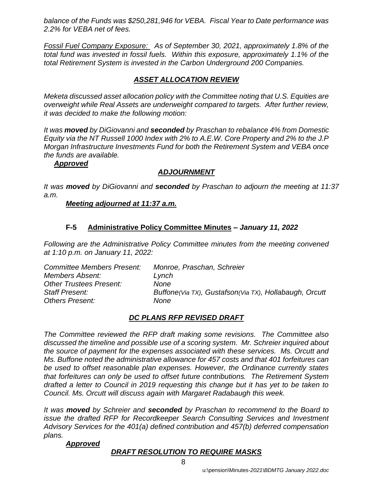*balance of the Funds was \$250,281,946 for VEBA. Fiscal Year to Date performance was 2.2% for VEBA net of fees.* 

*Fossil Fuel Company Exposure: As of September 30, 2021, approximately 1.8% of the total fund was invested in fossil fuels. Within this exposure, approximately 1.1% of the total Retirement System is invested in the Carbon Underground 200 Companies.*

## *ASSET ALLOCATION REVIEW*

*Meketa discussed asset allocation policy with the Committee noting that U.S. Equities are overweight while Real Assets are underweight compared to targets. After further review, it was decided to make the following motion:*

*It was moved by DiGiovanni and seconded by Praschan to rebalance 4% from Domestic Equity via the NT Russell 1000 Index with 2% to A.E.W. Core Property and 2% to the J.P Morgan Infrastructure Investments Fund for both the Retirement System and VEBA once the funds are available.*

### *Approved*

### *ADJOURNMENT*

*It was moved by DiGiovanni and seconded by Praschan to adjourn the meeting at 11:37 a.m.*

### *Meeting adjourned at 11:37 a.m.*

### **F-5 Administrative Policy Committee Minutes –** *January 11, 2022*

*Following are the Administrative Policy Committee minutes from the meeting convened at 1:10 p.m. on January 11, 2022:*

| <b>Committee Members Present:</b> | Monroe, Praschan, Schreier                             |
|-----------------------------------|--------------------------------------------------------|
| Members Absent:                   | Lynch                                                  |
| <b>Other Trustees Present:</b>    | None                                                   |
| <b>Staff Present:</b>             | Buffone(Via TX), Gustafson(Via TX), Hollabaugh, Orcutt |
| <b>Others Present:</b>            | None                                                   |

### *DC PLANS RFP REVISED DRAFT*

*The Committee reviewed the RFP draft making some revisions. The Committee also discussed the timeline and possible use of a scoring system. Mr. Schreier inquired about the source of payment for the expenses associated with these services. Ms. Orcutt and Ms. Buffone noted the administrative allowance for 457 costs and that 401 forfeitures can be used to offset reasonable plan expenses. However, the Ordinance currently states that forfeitures can only be used to offset future contributions. The Retirement System drafted a letter to Council in 2019 requesting this change but it has yet to be taken to Council. Ms. Orcutt will discuss again with Margaret Radabaugh this week.* 

*It was moved by Schreier and seconded by Praschan to recommend to the Board to issue the drafted RFP for Recordkeeper Search Consulting Services and Investment Advisory Services for the 401(a) defined contribution and 457(b) deferred compensation plans.*

### *Approved*

### *DRAFT RESOLUTION TO REQUIRE MASKS*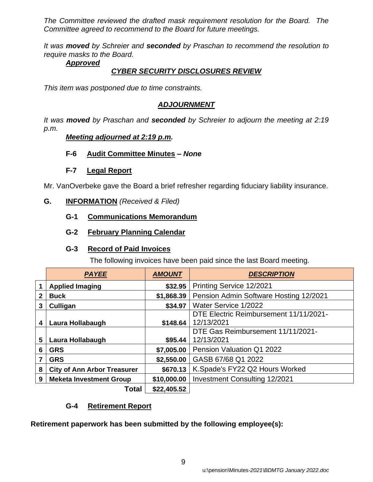*The Committee reviewed the drafted mask requirement resolution for the Board. The Committee agreed to recommend to the Board for future meetings.*

*It was moved by Schreier and seconded by Praschan to recommend the resolution to require masks to the Board.*

### *Approved*

### *CYBER SECURITY DISCLOSURES REVIEW*

*This item was postponed due to time constraints.*

# *ADJOURNMENT*

*It was moved by Praschan and seconded by Schreier to adjourn the meeting at 2:19 p.m.*

### *Meeting adjourned at 2:19 p.m.*

**F-6 Audit Committee Minutes** *– None*

### **F-7 Legal Report**

Mr. VanOverbeke gave the Board a brief refresher regarding fiduciary liability insurance.

### **G. INFORMATION** *(Received & Filed)*

### **G-1 Communications Memorandum**

# **G-2 February Planning Calendar**

# **G-3 Record of Paid Invoices**

The following invoices have been paid since the last Board meeting.

|                       | <b>PAYEE</b>                                                        | <b>AMOUNT</b> | <b>DESCRIPTION</b>                     |  |  |
|-----------------------|---------------------------------------------------------------------|---------------|----------------------------------------|--|--|
|                       | <b>Applied Imaging</b>                                              | \$32.95       | Printing Service 12/2021               |  |  |
| 2                     | Pension Admin Software Hosting 12/2021<br>\$1,868.39<br><b>Buck</b> |               |                                        |  |  |
| 3                     | \$34.97<br>Culligan                                                 |               | Water Service 1/2022                   |  |  |
|                       |                                                                     |               | DTE Electric Reimbursement 11/11/2021- |  |  |
| 4                     | Laura Hollabaugh                                                    | \$148.64      | 12/13/2021                             |  |  |
|                       |                                                                     |               | DTE Gas Reimbursement 11/11/2021-      |  |  |
| 5<br>Laura Hollabaugh |                                                                     | \$95.44       | 12/13/2021                             |  |  |
| 6                     | \$7,005.00<br><b>GRS</b>                                            |               | Pension Valuation Q1 2022              |  |  |
|                       | <b>GRS</b>                                                          | \$2,550.00    | GASB 67/68 Q1 2022                     |  |  |
| 8                     | <b>City of Ann Arbor Treasurer</b>                                  | \$670.13      | K.Spade's FY22 Q2 Hours Worked         |  |  |
| 9                     | <b>Meketa Investment Group</b>                                      | \$10,000.00   | <b>Investment Consulting 12/2021</b>   |  |  |
|                       | Total                                                               | \$22,405.52   |                                        |  |  |

# **G-4 Retirement Report**

**Retirement paperwork has been submitted by the following employee(s):**